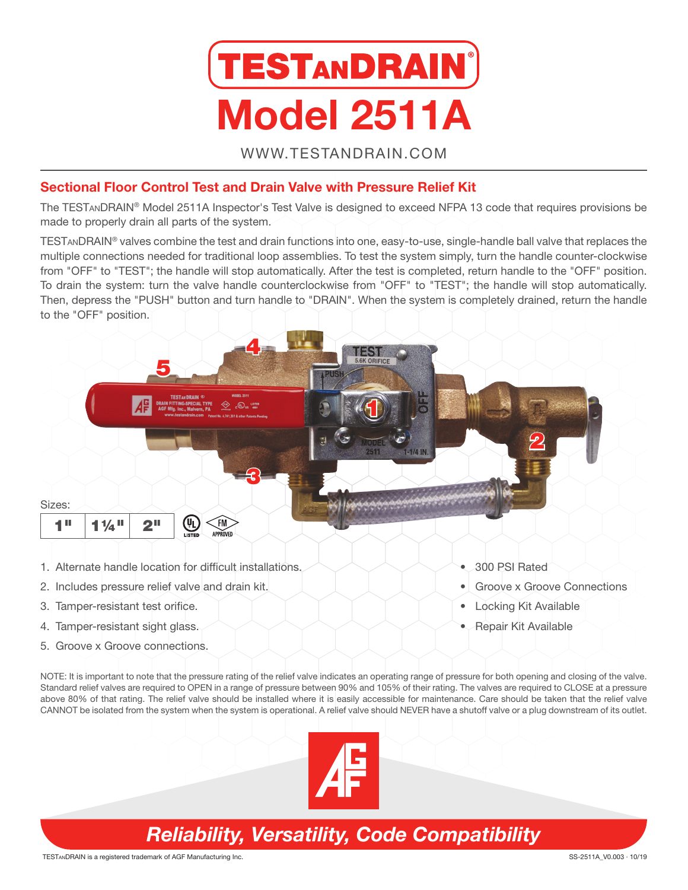

WWW.TESTANDRAIN.COM

#### Sectional Floor Control Test and Drain Valve with Pressure Relief Kit

The TESTanDRAIN® Model 2511A Inspector's Test Valve is designed to exceed NFPA 13 code that requires provisions be made to properly drain all parts of the system.

TESTanDRAIN® valves combine the test and drain functions into one, easy-to-use, single-handle ball valve that replaces the multiple connections needed for traditional loop assemblies. To test the system simply, turn the handle counter-clockwise from "OFF" to "TEST"; the handle will stop automatically. After the test is completed, return handle to the "OFF" position. To drain the system: turn the valve handle counterclockwise from "OFF" to "TEST"; the handle will stop automatically. Then, depress the "PUSH" button and turn handle to "DRAIN". When the system is completely drained, return the handle to the "OFF" position.



- 1. Alternate handle location for difficult installations.
- 2. Includes pressure relief valve and drain kit.
- 3. Tamper-resistant test orifice.
- 4. Tamper-resistant sight glass.
- 5. Groove x Groove connections.
- 300 PSI Rated
- Groove x Groove Connections
- Locking Kit Available
- Repair Kit Available

NOTE: It is important to note that the pressure rating of the relief valve indicates an operating range of pressure for both opening and closing of the valve. Standard relief valves are required to OPEN in a range of pressure between 90% and 105% of their rating. The valves are required to CLOSE at a pressure above 80% of that rating. The relief valve should be installed where it is easily accessible for maintenance. Care should be taken that the relief valve CANNOT be isolated from the system when the system is operational. A relief valve should NEVER have a shutoff valve or a plug downstream of its outlet.



# *Reliability, Versatility, Code Compatibility*